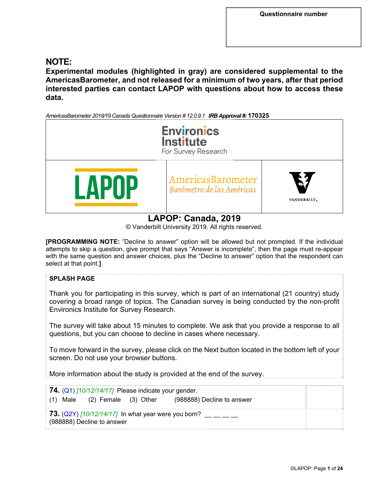# **NOTE:**

**Experimental modules (highlighted in gray) are considered supplemental to the AmericasBarometer, and not released for a minimum of two years, after that period interested parties can contact LAPOP with questions about how to access these data.** 

*AmericasBarometer 2018/19 Canada Questionnaire Version # 12.0.9.1 IRB Approval #:* **170325**



# **LAPOP: Canada, 2019**

© Vanderbilt University 2019. All rights reserved.

**[PROGRAMMING NOTE:** "Decline to answer" option will be allowed but not prompted. If the individual attempts to skip a question, give prompt that says "Answer is incomplete", then the page must re-appear with the same question and answer choices, plus the "Decline to answer" option that the respondent can select at that point.**]**

# **SPLASH PAGE**  Thank you for participating in this survey, which is part of an international (21 country) study covering a broad range of topics. The Canadian survey is being conducted by the non-profit Environics Institute for Survey Research. The survey will take about 15 minutes to complete. We ask that you provide a response to all questions, but you can choose to decline in cases where necessary. To move forward in the survey, please click on the Next button located in the bottom left of your screen. Do not use your browser buttons. More information about the study is provided at the end of the survey. **74.** (Q1) *[10/12/14/17]* Please indicate your gender. (1) Male (2) Female (3) Other (988888) Decline to answer **73.** (Q2Y) *[10/12/14/17]* In what year were you born? \_\_ \_\_ \_\_ \_\_ (988888) Decline to answer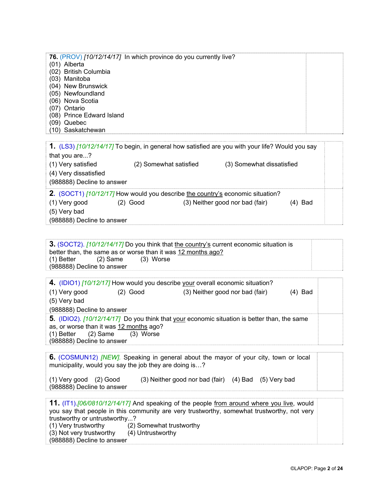| 76. (PROV) [10/12/14/17] In which province do you currently live? |  |
|-------------------------------------------------------------------|--|
| (01) Alberta                                                      |  |
| (02) British Columbia                                             |  |
| (03) Manitoba                                                     |  |
| (04) New Brunswick                                                |  |
| (05) Newfoundland                                                 |  |
| (06) Nova Scotia                                                  |  |
| (07) Ontario                                                      |  |
| (08) Prince Edward Island                                         |  |
| $(09)$ Quebec                                                     |  |
| (10) Saskatchewan                                                 |  |
|                                                                   |  |

| 1. (LS3) [10/12/14/17] To begin, in general how satisfied are you with your life? Would you say |                        |                                                                                |         |  |  |  |  |  |
|-------------------------------------------------------------------------------------------------|------------------------|--------------------------------------------------------------------------------|---------|--|--|--|--|--|
| that you are?                                                                                   |                        |                                                                                |         |  |  |  |  |  |
| (1) Very satisfied                                                                              | (2) Somewhat satisfied | (3) Somewhat dissatisfied                                                      |         |  |  |  |  |  |
| (4) Very dissatisfied                                                                           |                        |                                                                                |         |  |  |  |  |  |
| (988888) Decline to answer                                                                      |                        |                                                                                |         |  |  |  |  |  |
|                                                                                                 |                        | 2. (SOCT1) [10/12/17] How would you describe the country's economic situation? |         |  |  |  |  |  |
| (1) Very good                                                                                   | $(2)$ Good             | (3) Neither good nor bad (fair)                                                | (4) Bad |  |  |  |  |  |
| (5) Very bad                                                                                    |                        |                                                                                |         |  |  |  |  |  |
| (988888) Decline to answer                                                                      |                        |                                                                                |         |  |  |  |  |  |

**3.** (SOCT2). *[10/12/14/17]* Do you think that the country's current economic situation is better than, the same as or worse than it was 12 months ago?<br>(1) Better (2) Same (3) Worse  $(3)$  Worse (988888) Decline to answer

|                                         |          | 4. (IDIO1) [10/12/17] How would you describe your overall economic situation?                |        |
|-----------------------------------------|----------|----------------------------------------------------------------------------------------------|--------|
| (1) Very good                           | (2) Good | (3) Neither good nor bad (fair)                                                              | 4) Bad |
| (5) Very bad                            |          |                                                                                              |        |
| (988888) Decline to answer              |          |                                                                                              |        |
|                                         |          | 5. (IDIO2). [10/12/14/17] Do you think that your economic situation is better than, the same |        |
| as, or worse than it was 12 months ago? |          |                                                                                              |        |
| $(1)$ Better $(2)$ Same $(3)$ Worse     |          |                                                                                              |        |
|                                         |          |                                                                                              |        |
| (988888) Decline to answer              |          |                                                                                              |        |

**6.** (COSMUN12) *[NEW].* Speaking in general about the mayor of your city, town or local municipality, would you say the job they are doing is...?

(1) Very good (2) Good (3) Neither good nor bad (fair) (4) Bad (5) Very bad (988888) Decline to answer

**11.** (IT1).*[06/0810/12/14/17]* And speaking of the people from around where you live, would you say that people in this community are very trustworthy, somewhat trustworthy, not very trustworthy or untrustworthy...?<br>(1) Very trustworthy (2) { (2) Somewhat trustworthy (3) Not very trustworthy (4) Untrustworthy (988888) Decline to answer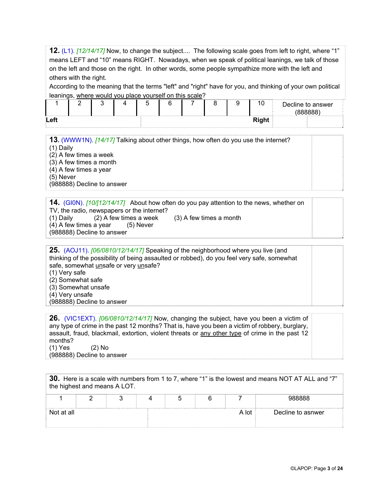**12.** (L1). *[12/14/17]* Now, to change the subject.... The following scale goes from left to right, where "1" means LEFT and "10" means RIGHT. Nowadays, when we speak of political leanings, we talk of those on the left and those on the right. In other words, some people sympathize more with the left and others with the right. According to the meaning that the terms "left" and "right" have for you, and thinking of your own political leanings, where would you place yourself on this scale?

|      |  |  |  |  |              | Decline to answer<br><b><i>(RRRRRR)</i></b> |
|------|--|--|--|--|--------------|---------------------------------------------|
| Left |  |  |  |  | <b>Right</b> |                                             |

**13.** (WWW1N). *[14/17]* Talking about other things, how often do you use the internet? (1) Daily (2) A few times a week (3) A few times a month (4) A few times a year (5) Never

(988888) Decline to answer

**14.** (GI0N). *[10/[12/14/17]*About how often do you pay attention to the news, whether on TV, the radio, newspapers or the internet? (1) Daily (2) A few times a week (3) A few times a month (4) A few times a year  $(5)$  Never  $(4)$  A few times a year (988888) Decline to answer

| 25. (AOJ11). [06/0810/12/14/17] Speaking of the neighborhood where you live (and<br>thinking of the possibility of being assaulted or robbed), do you feel very safe, somewhat |  |
|--------------------------------------------------------------------------------------------------------------------------------------------------------------------------------|--|
| safe, somewhat unsafe or very unsafe?                                                                                                                                          |  |
| (1) Very safe                                                                                                                                                                  |  |
| (2) Somewhat safe                                                                                                                                                              |  |
| (3) Somewhat unsafe                                                                                                                                                            |  |
| (4) Very unsafe                                                                                                                                                                |  |
| (988888) Decline to answer                                                                                                                                                     |  |
|                                                                                                                                                                                |  |

**26.** (VIC1EXT). *[06/0810/12/14/17]* Now, changing the subject, have you been a victim of any type of crime in the past 12 months? That is, have you been a victim of robbery, burglary, assault, fraud, blackmail, extortion, violent threats or any other type of crime in the past 12 months? (1) Yes (2) No

(988888) Decline to answer

| 30. Here is a scale with numbers from 1 to 7, where "1" is the lowest and means NOT AT ALL and "7"<br>the highest and means A LOT. |  |  |  |  |  |       |                   |  |
|------------------------------------------------------------------------------------------------------------------------------------|--|--|--|--|--|-------|-------------------|--|
|                                                                                                                                    |  |  |  |  |  |       |                   |  |
| Not at all                                                                                                                         |  |  |  |  |  | A Int | Decline to asnwer |  |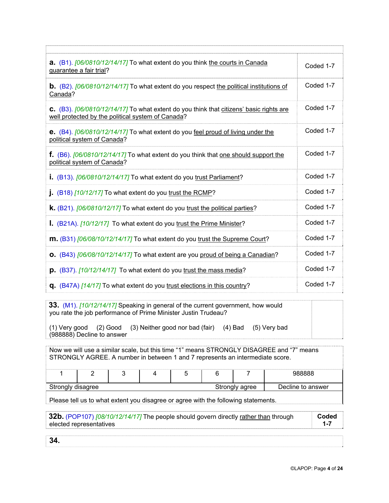| <b>a.</b> $(B1)$ . $[06/0810/12/14/17]$ To what extent do you think the courts in Canada<br>guarantee a fair trial?                          | Coded 1-7 |
|----------------------------------------------------------------------------------------------------------------------------------------------|-----------|
| <b>b.</b> (B2). $[06/0810/12/14/17]$ To what extent do you respect the political institutions of<br>Canada?                                  | Coded 1-7 |
| C. (B3). [06/0810/12/14/17] To what extent do you think that citizens' basic rights are<br>well protected by the political system of Canada? | Coded 1-7 |
| <b>e.</b> (B4). [06/0810/12/14/17] To what extent do you feel proud of living under the<br>political system of Canada?                       | Coded 1-7 |
| f. (B6). [06/0810/12/14/17] To what extent do you think that one should support the<br>political system of Canada?                           | Coded 1-7 |
| i. (B13). [06/0810/12/14/17] To what extent do you trust Parliament?                                                                         | Coded 1-7 |
| $\mu$ (B18) [10/12/17] To what extent do you trust the RCMP?                                                                                 | Coded 1-7 |
| <b>k.</b> (B21). [06/0810/12/17] To what extent do you trust the political parties?                                                          | Coded 1-7 |
| I. (B21A). [10/12/17] To what extent do you trust the Prime Minister?                                                                        | Coded 1-7 |
| $\mathsf{m}$ . (B31) [06/08/10/12/14/17] To what extent do you trust the Supreme Court?                                                      | Coded 1-7 |
| <b>O.</b> (B43) [06/08/10/12/14/17] To what extent are you proud of being a Canadian?                                                        | Coded 1-7 |
| $\mathbf{p}$ . (B37). [10/12/14/17] To what extent do you trust the mass media?                                                              | Coded 1-7 |
| q. (B47A) [14/17] To what extent do you trust elections in this country?                                                                     | Coded 1-7 |

**33.** (M1). *[10/12/14/17]* Speaking in general of the current government, how would you rate the job performance of Prime Minister Justin Trudeau? (1) Very good (2) Good (3) Neither good nor bad (fair) (4) Bad (5) Very bad (988888) Decline to answer

Now we will use a similar scale, but this time "1" means STRONGLY DISAGREE and "7" means STRONGLY AGREE. A number in between 1 and 7 represents an intermediate score. 1 | 2 | 3 | 4 | 5 | 6 | 7 | 988888 Strongly disagree Strongly agree Decline to answer

Please tell us to what extent you disagree or agree with the following statements.

| 32b. (POP107) [08/10/12/14/17] The people should govern directly rather than through | Coded |
|--------------------------------------------------------------------------------------|-------|
| elected representatives                                                              |       |
|                                                                                      |       |

**34.**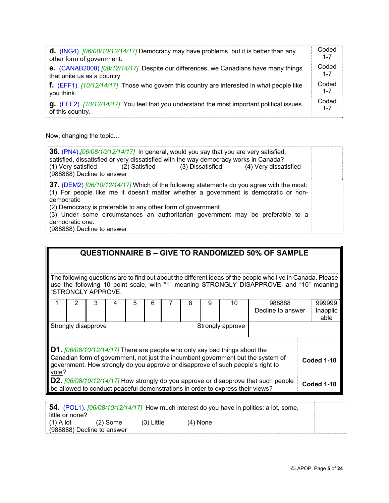| <b>d.</b> (ING4). $[06/08/10/12/14/17]$ Democracy may have problems, but it is better than any   | Coded   |
|--------------------------------------------------------------------------------------------------|---------|
| other form of government.                                                                        | $1 - 7$ |
| <b>e.</b> (CANAB2008) [08/12/14/17] Despite our differences, we Canadians have many things       | Coded   |
| that unite us as a country                                                                       | $1 - 7$ |
| f. (EFF1). [10/12/14/17] Those who govern this country are interested in what people like        | Coded   |
| you think.                                                                                       | $1 - 7$ |
| <b>g.</b> (EFF2). [10/12/14/17] You feel that you understand the most important political issues | Coded   |
| of this country.                                                                                 | $1 - 7$ |

Now, changing the topic…

| 36. (PN4). [06/08/10/12/14/17] In general, would you say that you are very satisfied,<br>satisfied, dissatisfied or very dissatisfied with the way democracy works in Canada?<br>(1) Very satisfied<br>(3) Dissatisfied<br>(4) Very dissatisfied<br>(2) Satisfied<br>(988888) Decline to answer                                                                                                   |  |
|---------------------------------------------------------------------------------------------------------------------------------------------------------------------------------------------------------------------------------------------------------------------------------------------------------------------------------------------------------------------------------------------------|--|
| 37. (DEM2) [06/10/12/14/17] Which of the following statements do you agree with the most:<br>(1) For people like me it doesn't matter whether a government is democratic or non-<br>democratic<br>(2) Democracy is preferable to any other form of government<br>(3) Under some circumstances an authoritarian government may be preferable to a<br>democratic one.<br>(988888) Decline to answer |  |

|                                                                                                                                                                                                                                                                     | <b>QUESTIONNAIRE B - GIVE TO RANDOMIZED 50% OF SAMPLE</b>                                                                                                                                                                    |  |  |  |  |  |            |            |  |
|---------------------------------------------------------------------------------------------------------------------------------------------------------------------------------------------------------------------------------------------------------------------|------------------------------------------------------------------------------------------------------------------------------------------------------------------------------------------------------------------------------|--|--|--|--|--|------------|------------|--|
|                                                                                                                                                                                                                                                                     | The following questions are to find out about the different ideas of the people who live in Canada. Please<br>use the following 10 point scale, with "1" meaning STRONGLY DISAPPROVE, and "10" meaning<br>"STRONGLY APPROVE. |  |  |  |  |  |            |            |  |
|                                                                                                                                                                                                                                                                     | 999999<br>8<br>9<br>10<br>3<br>988888<br>5<br>6<br>4<br>Decline to answer<br>Inapplic<br>able                                                                                                                                |  |  |  |  |  |            |            |  |
|                                                                                                                                                                                                                                                                     | Strongly disapprove<br>Strongly approve                                                                                                                                                                                      |  |  |  |  |  |            |            |  |
| <b>D1.</b> $[06/08/10/12/14/17]$ There are people who only say bad things about the<br>Canadian form of government, not just the incumbent government but the system of<br>government. How strongly do you approve or disapprove of such people's right to<br>vote? |                                                                                                                                                                                                                              |  |  |  |  |  | Coded 1-10 |            |  |
|                                                                                                                                                                                                                                                                     | D2. [06/08/10/12/14/17] How strongly do you approve or disapprove that such people<br>be allowed to conduct peaceful demonstrations in order to express their views?                                                         |  |  |  |  |  |            | Coded 1-10 |  |

|                            |              | 54. (POL1). [06/08/10/12/14/17] How much interest do you have in politics: a lot, some, |  |
|----------------------------|--------------|-----------------------------------------------------------------------------------------|--|
| little or none?            |              |                                                                                         |  |
| $(1)$ A lot<br>$(2)$ Some  | $(3)$ Little | $(4)$ None                                                                              |  |
| (988888) Decline to answer |              |                                                                                         |  |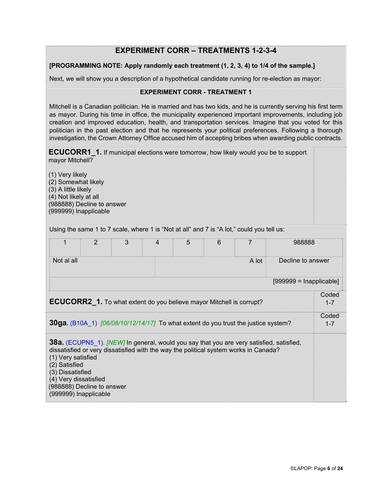## **EXPERIMENT CORR – TREATMENTS 1-2-3-4**

### **[PROGRAMMING NOTE: Apply randomly each treatment (1, 2, 3, 4) to 1/4 of the sample.]**

Next, we will show you a description of a hypothetical candidate running for re-election as mayor:

### **EXPERIMENT CORR - TREATMENT 1**

Mitchell is a Canadian politician. He is married and has two kids, and he is currently serving his first term as mayor. During his time in office, the municipality experienced important improvements, including job creation and improved education, health, and transportation services. Imagine that you voted for this politician in the past election and that he represents your political preferences. Following a thorough investigation, the Crown Attorney Office accused him of accepting bribes when awarding public contracts.

**ECUCORR1\_1.** If municipal elections were tomorrow, how likely would you be to support mayor Mitchell?

(1) Very likely (2) Somewhat likely (3) A little likely (4) Not likely at all (988888) Decline to answer (999999) Inapplicable

Using the same 1 to 7 scale, where 1 is "Not at all" and 7 is "A lot," could you tell us:

| 1                                                                                                                                                                                                                                                                                                                                         | 2                          | 3 | 4 | 5 | 6 |  | 988888                    |                  |
|-------------------------------------------------------------------------------------------------------------------------------------------------------------------------------------------------------------------------------------------------------------------------------------------------------------------------------------------|----------------------------|---|---|---|---|--|---------------------------|------------------|
| Not al all                                                                                                                                                                                                                                                                                                                                | A lot<br>Decline to answer |   |   |   |   |  |                           |                  |
|                                                                                                                                                                                                                                                                                                                                           |                            |   |   |   |   |  | $[999999 = Inapplicable]$ |                  |
| <b>ECUCORR2_1.</b> To what extent do you believe mayor Mitchell is corrupt?                                                                                                                                                                                                                                                               |                            |   |   |   |   |  |                           | Coded<br>$1 - 7$ |
| <b>30ga.</b> (B10A 1) [06/08/10/12/14/17] To what extent do you trust the justice system?                                                                                                                                                                                                                                                 |                            |   |   |   |   |  |                           | Coded<br>$1 - 7$ |
| <b>38a.</b> (ECUPN5 1). <i>[NEW]</i> In general, would you say that you are very satisfied, satisfied,<br>dissatisfied or very dissatisfied with the way the political system works in Canada?<br>(1) Very satisfied<br>(2) Satisfied<br>(3) Dissatisfied<br>(4) Very dissatisfied<br>(988888) Decline to answer<br>(999999) Inapplicable |                            |   |   |   |   |  |                           |                  |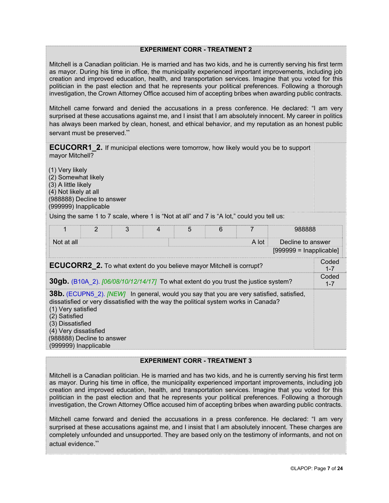### **EXPERIMENT CORR - TREATMENT 2**

Mitchell is a Canadian politician. He is married and has two kids, and he is currently serving his first term as mayor. During his time in office, the municipality experienced important improvements, including job creation and improved education, health, and transportation services. Imagine that you voted for this politician in the past election and that he represents your political preferences. Following a thorough investigation, the Crown Attorney Office accused him of accepting bribes when awarding public contracts.

Mitchell came forward and denied the accusations in a press conference. He declared: "I am very surprised at these accusations against me, and I insist that I am absolutely innocent. My career in politics has always been marked by clean, honest, and ethical behavior, and my reputation as an honest public servant must be preserved."

**ECUCORR1** 2. If municipal elections were tomorrow, how likely would you be to support mayor Mitchell?

(1) Very likely (2) Somewhat likely (3) A little likely (4) Not likely at all (988888) Decline to answer (999999) Inapplicable

Using the same 1 to 7 scale, where 1 is "Not at all" and 7 is "A lot," could you tell us:

|                                                                                                                                         | 2 | 3 | 4 | 5 | 6 |                                                                                                                                                                                                | 988888 |                  |  |  |
|-----------------------------------------------------------------------------------------------------------------------------------------|---|---|---|---|---|------------------------------------------------------------------------------------------------------------------------------------------------------------------------------------------------|--------|------------------|--|--|
| Not at all<br>A lot<br>Decline to answer                                                                                                |   |   |   |   |   |                                                                                                                                                                                                |        |                  |  |  |
| $[999999 = Inapplicable]$                                                                                                               |   |   |   |   |   |                                                                                                                                                                                                |        |                  |  |  |
| <b>ECUCORR2</b> 2. To what extent do you believe mayor Mitchell is corrupt?                                                             |   |   |   |   |   |                                                                                                                                                                                                |        |                  |  |  |
| <b>30gb.</b> (B10A 2). [06/08/10/12/14/17] To what extent do you trust the justice system?                                              |   |   |   |   |   |                                                                                                                                                                                                |        | Coded<br>$1 - 7$ |  |  |
| (1) Very satisfied<br>(2) Satisfied<br>(3) Dissatisfied<br>(4) Very dissatisfied<br>(988888) Decline to answer<br>(999999) Inapplicable |   |   |   |   |   | <b>38b.</b> (ECUPN5 2). <i>[NEW]</i> In general, would you say that you are very satisfied, satisfied,<br>dissatisfied or very dissatisfied with the way the political system works in Canada? |        |                  |  |  |

### **EXPERIMENT CORR - TREATMENT 3**

Mitchell is a Canadian politician. He is married and has two kids, and he is currently serving his first term as mayor. During his time in office, the municipality experienced important improvements, including job creation and improved education, health, and transportation services. Imagine that you voted for this politician in the past election and that he represents your political preferences. Following a thorough investigation, the Crown Attorney Office accused him of accepting bribes when awarding public contracts.

Mitchell came forward and denied the accusations in a press conference. He declared: "I am very surprised at these accusations against me, and I insist that I am absolutely innocent. These charges are completely unfounded and unsupported. They are based only on the testimony of informants, and not on actual evidence."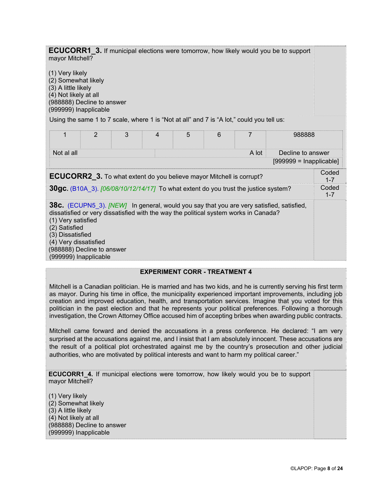**ECUCORR1** 3. If municipal elections were tomorrow, how likely would you be to support mayor Mitchell?

(1) Very likely (2) Somewhat likely (3) A little likely (4) Not likely at all (988888) Decline to answer (999999) Inapplicable

Using the same 1 to 7 scale, where 1 is "Not at all" and 7 is "A lot," could you tell us:

|                                                                                                                                         | 2 | 3 | 4 | 5 | 6 |                                                                                      | 988888                                                                                   |                  |  |
|-----------------------------------------------------------------------------------------------------------------------------------------|---|---|---|---|---|--------------------------------------------------------------------------------------|------------------------------------------------------------------------------------------|------------------|--|
| Not al all                                                                                                                              |   |   |   |   |   | A lot                                                                                | Decline to answer                                                                        |                  |  |
|                                                                                                                                         |   |   |   |   |   |                                                                                      | $[999999 = Inapplicable]$                                                                |                  |  |
| <b>ECUCORR2</b> 3. To what extent do you believe mayor Mitchell is corrupt?                                                             |   |   |   |   |   |                                                                                      |                                                                                          | Coded<br>$1 - 7$ |  |
| <b>30gc.</b> (B10A 3). [06/08/10/12/14/17] To what extent do you trust the justice system?                                              |   |   |   |   |   |                                                                                      | Coded<br>$1 - 7$                                                                         |                  |  |
| (1) Very satisfied<br>(2) Satisfied<br>(3) Dissatisfied<br>(4) Very dissatisfied<br>(988888) Decline to answer<br>(999999) Inapplicable |   |   |   |   |   | dissatisfied or very dissatisfied with the way the political system works in Canada? | 38c. (ECUPN5_3). [NEW] In general, would you say that you are very satisfied, satisfied, |                  |  |

### **EXPERIMENT CORR - TREATMENT 4**

Mitchell is a Canadian politician. He is married and has two kids, and he is currently serving his first term as mayor. During his time in office, the municipality experienced important improvements, including job creation and improved education, health, and transportation services. Imagine that you voted for this politician in the past election and that he represents your political preferences. Following a thorough investigation, the Crown Attorney Office accused him of accepting bribes when awarding public contracts.

Mitchell came forward and denied the accusations in a press conference. He declared: "I am very surprised at the accusations against me, and I insist that I am absolutely innocent. These accusations are the result of a political plot orchestrated against me by the country's prosecution and other judicial authorities, who are motivated by political interests and want to harm my political career."

**ECUCORR1 4.** If municipal elections were tomorrow, how likely would you be to support mayor Mitchell?

(1) Very likely (2) Somewhat likely (3) A little likely (4) Not likely at all (988888) Decline to answer (999999) Inapplicable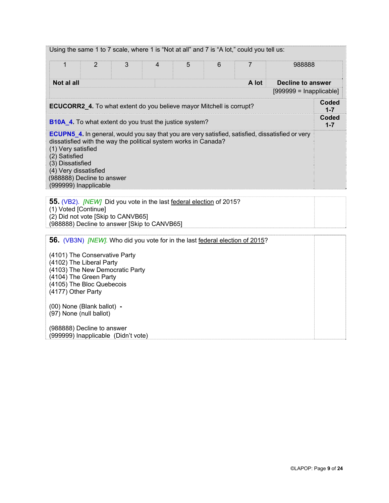| $\mathbf{1}$                                                                                                                                                                                                                                                                                                          | 2                                                                                                                | 3                                                                                                                                                                | 4 | 5 | 6 | 988888 |                          |                  |  |  |  |
|-----------------------------------------------------------------------------------------------------------------------------------------------------------------------------------------------------------------------------------------------------------------------------------------------------------------------|------------------------------------------------------------------------------------------------------------------|------------------------------------------------------------------------------------------------------------------------------------------------------------------|---|---|---|--------|--------------------------|------------------|--|--|--|
| Not al all                                                                                                                                                                                                                                                                                                            |                                                                                                                  |                                                                                                                                                                  |   |   |   | A lot  | <b>Decline to answer</b> |                  |  |  |  |
| $[999999 = Inapplicable]$                                                                                                                                                                                                                                                                                             |                                                                                                                  |                                                                                                                                                                  |   |   |   |        |                          |                  |  |  |  |
|                                                                                                                                                                                                                                                                                                                       |                                                                                                                  | ECUCORR2_4. To what extent do you believe mayor Mitchell is corrupt?                                                                                             |   |   |   |        |                          | Coded<br>$1 - 7$ |  |  |  |
| <b>B10A_4.</b> To what extent do you trust the justice system?                                                                                                                                                                                                                                                        |                                                                                                                  |                                                                                                                                                                  |   |   |   |        | <b>Coded</b><br>$1 - 7$  |                  |  |  |  |
| <b>ECUPN5_4.</b> In general, would you say that you are very satisfied, satisfied, dissatisfied or very<br>dissatisfied with the way the political system works in Canada?<br>(1) Very satisfied<br>(2) Satisfied<br>(3) Dissatisfied<br>(4) Very dissatisfied<br>(988888) Decline to answer<br>(999999) Inapplicable |                                                                                                                  |                                                                                                                                                                  |   |   |   |        |                          |                  |  |  |  |
| (1) Voted [Continue]                                                                                                                                                                                                                                                                                                  |                                                                                                                  | 55. (VB2). <i>[NEW]</i> Did you vote in the last federal election of 2015?<br>(2) Did not vote [Skip to CANVB65]<br>(988888) Decline to answer [Skip to CANVB65] |   |   |   |        |                          |                  |  |  |  |
| (4177) Other Party                                                                                                                                                                                                                                                                                                    | (4101) The Conservative Party<br>(4102) The Liberal Party<br>(4104) The Green Party<br>(4105) The Bloc Quebecois | 56. (VB3N) <i>[NEW]</i> . Who did you vote for in the last federal election of 2015?<br>(4103) The New Democratic Party                                          |   |   |   |        |                          |                  |  |  |  |
|                                                                                                                                                                                                                                                                                                                       | (00) None (Blank ballot) -<br>(97) None (null ballot)                                                            |                                                                                                                                                                  |   |   |   |        |                          |                  |  |  |  |
|                                                                                                                                                                                                                                                                                                                       | (988888) Decline to answer                                                                                       | (999999) Inapplicable (Didn't vote)                                                                                                                              |   |   |   |        |                          |                  |  |  |  |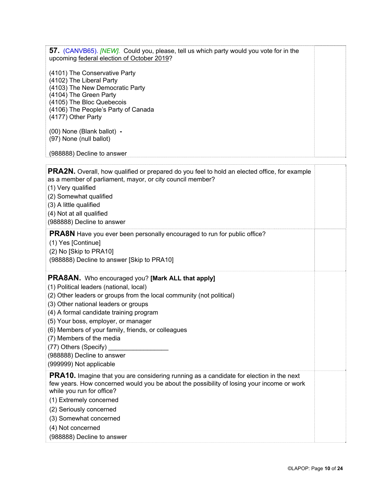| 57. (CANVB65). <i>[NEW]</i> . Could you, please, tell us which party would you vote for in the<br>upcoming federal election of October 2019?                                                                             |  |
|--------------------------------------------------------------------------------------------------------------------------------------------------------------------------------------------------------------------------|--|
| (4101) The Conservative Party<br>(4102) The Liberal Party<br>(4103) The New Democratic Party<br>(4104) The Green Party<br>(4105) The Bloc Quebecois<br>(4106) The People's Party of Canada<br>(4177) Other Party         |  |
| (00) None (Blank ballot) -<br>(97) None (null ballot)                                                                                                                                                                    |  |
| (988888) Decline to answer                                                                                                                                                                                               |  |
| <b>PRA2N.</b> Overall, how qualified or prepared do you feel to hold an elected office, for example                                                                                                                      |  |
| as a member of parliament, mayor, or city council member?                                                                                                                                                                |  |
| (1) Very qualified                                                                                                                                                                                                       |  |
| (2) Somewhat qualified                                                                                                                                                                                                   |  |
| (3) A little qualified                                                                                                                                                                                                   |  |
| (4) Not at all qualified                                                                                                                                                                                                 |  |
| (988888) Decline to answer                                                                                                                                                                                               |  |
| <b>PRA8N</b> Have you ever been personally encouraged to run for public office?<br>(1) Yes [Continue]<br>(2) No [Skip to PRA10]<br>(988888) Decline to answer [Skip to PRA10]                                            |  |
|                                                                                                                                                                                                                          |  |
| <b>PRA8AN.</b> Who encouraged you? [Mark ALL that apply]<br>(1) Political leaders (national, local)                                                                                                                      |  |
| (2) Other leaders or groups from the local community (not political)                                                                                                                                                     |  |
| (3) Other national leaders or groups                                                                                                                                                                                     |  |
| (4) A formal candidate training program                                                                                                                                                                                  |  |
| (5) Your boss, employer, or manager                                                                                                                                                                                      |  |
| (6) Members of your family, friends, or colleagues                                                                                                                                                                       |  |
| (7) Members of the media                                                                                                                                                                                                 |  |
| (77) Others (Specify)                                                                                                                                                                                                    |  |
| (988888) Decline to answer<br>(999999) Not applicable                                                                                                                                                                    |  |
|                                                                                                                                                                                                                          |  |
| <b>PRA10.</b> Imagine that you are considering running as a candidate for election in the next<br>few years. How concerned would you be about the possibility of losing your income or work<br>while you run for office? |  |
| (1) Extremely concerned                                                                                                                                                                                                  |  |
| (2) Seriously concerned                                                                                                                                                                                                  |  |
| (3) Somewhat concerned                                                                                                                                                                                                   |  |
| (4) Not concerned                                                                                                                                                                                                        |  |
| (988888) Decline to answer                                                                                                                                                                                               |  |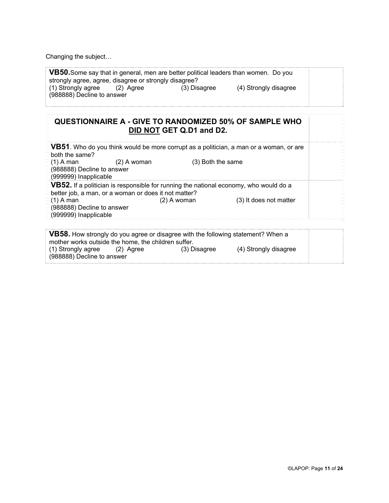Changing the subject…

| strongly agree, agree, disagree or strongly disagree?      |              | VB50. Some say that in general, men are better political leaders than women. Do you |  |
|------------------------------------------------------------|--------------|-------------------------------------------------------------------------------------|--|
| (1) Strongly agree (2) Agree<br>(988888) Decline to answer | (3) Disagree | (4) Strongly disagree                                                               |  |

# **QUESTIONNAIRE A - GIVE TO RANDOMIZED 50% OF SAMPLE WHO DID NOT GET Q.D1 and D2.**

| VB51. Who do you think would be more corrupt as a politician, a man or a woman, or are<br>both the same?                                      |                                         |  |  |  |  |  |
|-----------------------------------------------------------------------------------------------------------------------------------------------|-----------------------------------------|--|--|--|--|--|
| $(1)$ A man<br>(3) Both the same<br>$(2)$ A woman<br>(988888) Decline to answer<br>(999999) Inapplicable                                      |                                         |  |  |  |  |  |
| VB52. If a politician is responsible for running the national economy, who would do a<br>better job, a man, or a woman or does it not matter? |                                         |  |  |  |  |  |
| $(1)$ A man<br>(988888) Decline to answer<br>(999999) Inapplicable                                                                            | $(2)$ A woman<br>(3) It does not matter |  |  |  |  |  |
|                                                                                                                                               |                                         |  |  |  |  |  |

| VB58. How strongly do you agree or disagree with the following statement? When a |           |              |                       |  |  |  |
|----------------------------------------------------------------------------------|-----------|--------------|-----------------------|--|--|--|
| mother works outside the home, the children suffer.                              |           |              |                       |  |  |  |
| (1) Strongly agree                                                               | (2) Agree | (3) Disagree | (4) Strongly disagree |  |  |  |
| (988888) Decline to answer                                                       |           |              |                       |  |  |  |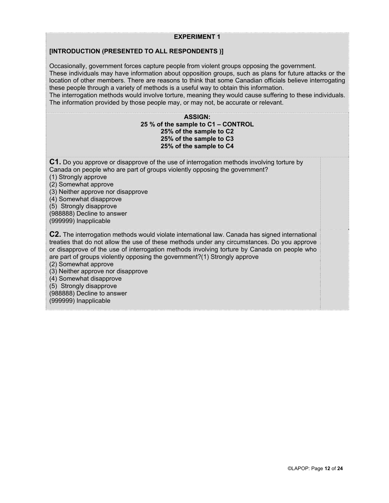### **EXPERIMENT 1**

### **[INTRODUCTION (PRESENTED TO ALL RESPONDENTS )]**

Occasionally, government forces capture people from violent groups opposing the government. These individuals may have information about opposition groups, such as plans for future attacks or the location of other members. There are reasons to think that some Canadian officials believe interrogating these people through a variety of methods is a useful way to obtain this information. The interrogation methods would involve torture, meaning they would cause suffering to these individuals. The information provided by those people may, or may not, be accurate or relevant.

#### **ASSIGN: 25 % of the sample to C1 – CONTROL 25% of the sample to C2 25% of the sample to C3 25% of the sample to C4**

**C1.** Do you approve or disapprove of the use of interrogation methods involving torture by Canada on people who are part of groups violently opposing the government? (1) Strongly approve (2) Somewhat approve (3) Neither approve nor disapprove (4) Somewhat disapprove (5) Strongly disapprove (988888) Decline to answer (999999) Inapplicable **C2.** The interrogation methods would violate international law. Canada has signed international treaties that do not allow the use of these methods under any circumstances. Do you approve or disapprove of the use of interrogation methods involving torture by Canada on people who are part of groups violently opposing the government?(1) Strongly approve (2) Somewhat approve (3) Neither approve nor disapprove (4) Somewhat disapprove (5) Strongly disapprove (988888) Decline to answer (999999) Inapplicable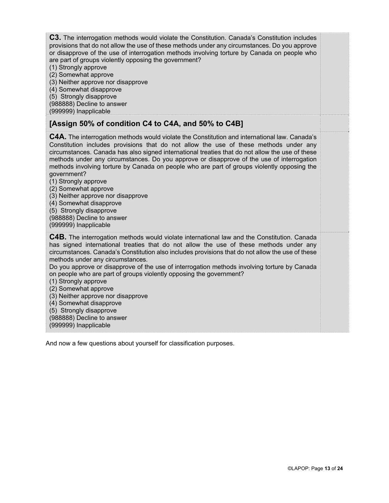**C3.** The interrogation methods would violate the Constitution. Canada's Constitution includes provisions that do not allow the use of these methods under any circumstances. Do you approve or disapprove of the use of interrogation methods involving torture by Canada on people who are part of groups violently opposing the government?

- (1) Strongly approve
- (2) Somewhat approve
- (3) Neither approve nor disapprove
- (4) Somewhat disapprove
- (5) Strongly disapprove
- (988888) Decline to answer

(999999) Inapplicable

### **[Assign 50% of condition C4 to C4A, and 50% to C4B]**

**C4A.** The interrogation methods would violate the Constitution and international law. Canada's Constitution includes provisions that do not allow the use of these methods under any circumstances. Canada has also signed international treaties that do not allow the use of these methods under any circumstances. Do you approve or disapprove of the use of interrogation methods involving torture by Canada on people who are part of groups violently opposing the government?

- (1) Strongly approve
- (2) Somewhat approve
- (3) Neither approve nor disapprove
- (4) Somewhat disapprove
- (5) Strongly disapprove

(988888) Decline to answer (999999) Inapplicable

**C4B.** The interrogation methods would violate international law and the Constitution. Canada has signed international treaties that do not allow the use of these methods under any circumstances. Canada's Constitution also includes provisions that do not allow the use of these methods under any circumstances.

Do you approve or disapprove of the use of interrogation methods involving torture by Canada on people who are part of groups violently opposing the government?

- (1) Strongly approve
- (2) Somewhat approve
- (3) Neither approve nor disapprove
- (4) Somewhat disapprove
- (5) Strongly disapprove
- (988888) Decline to answer
- (999999) Inapplicable

And now a few questions about yourself for classification purposes.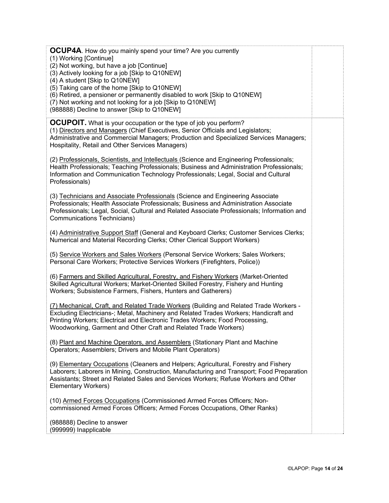| <b>OCUP4A.</b> How do you mainly spend your time? Are you currently<br>(1) Working [Continue]<br>(2) Not working, but have a job [Continue]<br>(3) Actively looking for a job [Skip to Q10NEW]<br>(4) A student [Skip to Q10NEW]<br>(5) Taking care of the home [Skip to Q10NEW]<br>(6) Retired, a pensioner or permanently disabled to work [Skip to Q10NEW]<br>(7) Not working and not looking for a job [Skip to Q10NEW]<br>(988888) Decline to answer [Skip to Q10NEW] |  |
|----------------------------------------------------------------------------------------------------------------------------------------------------------------------------------------------------------------------------------------------------------------------------------------------------------------------------------------------------------------------------------------------------------------------------------------------------------------------------|--|
| <b>OCUPOIT.</b> What is your occupation or the type of job you perform?<br>(1) Directors and Managers (Chief Executives, Senior Officials and Legislators;<br>Administrative and Commercial Managers; Production and Specialized Services Managers;<br>Hospitality, Retail and Other Services Managers)                                                                                                                                                                    |  |
| (2) Professionals, Scientists, and Intellectuals (Science and Engineering Professionals;<br>Health Professionals; Teaching Professionals; Business and Administration Professionals;<br>Information and Communication Technology Professionals; Legal, Social and Cultural<br>Professionals)                                                                                                                                                                               |  |
| (3) Technicians and Associate Professionals (Science and Engineering Associate<br>Professionals; Health Associate Professionals; Business and Administration Associate<br>Professionals; Legal, Social, Cultural and Related Associate Professionals; Information and<br>Communications Technicians)                                                                                                                                                                       |  |
| (4) Administrative Support Staff (General and Keyboard Clerks; Customer Services Clerks;<br>Numerical and Material Recording Clerks; Other Clerical Support Workers)                                                                                                                                                                                                                                                                                                       |  |
| (5) Service Workers and Sales Workers (Personal Service Workers; Sales Workers;<br>Personal Care Workers; Protective Services Workers (Firefighters, Police))                                                                                                                                                                                                                                                                                                              |  |
| (6) Farmers and Skilled Agricultural, Forestry, and Fishery Workers (Market-Oriented<br>Skilled Agricultural Workers; Market-Oriented Skilled Forestry, Fishery and Hunting<br>Workers; Subsistence Farmers, Fishers, Hunters and Gatherers)                                                                                                                                                                                                                               |  |
| (7) Mechanical, Craft, and Related Trade Workers (Building and Related Trade Workers -<br>Excluding Electricians-; Metal, Machinery and Related Trades Workers; Handicraft and<br>Printing Workers; Electrical and Electronic Trades Workers; Food Processing,<br>Woodworking, Garment and Other Craft and Related Trade Workers)                                                                                                                                          |  |
| (8) Plant and Machine Operators, and Assemblers (Stationary Plant and Machine<br>Operators; Assemblers; Drivers and Mobile Plant Operators)                                                                                                                                                                                                                                                                                                                                |  |
| (9) Elementary Occupations (Cleaners and Helpers; Agricultural, Forestry and Fishery<br>Laborers; Laborers in Mining, Construction, Manufacturing and Transport; Food Preparation<br>Assistants; Street and Related Sales and Services Workers; Refuse Workers and Other<br><b>Elementary Workers)</b>                                                                                                                                                                     |  |
| (10) Armed Forces Occupations (Commissioned Armed Forces Officers; Non-<br>commissioned Armed Forces Officers; Armed Forces Occupations, Other Ranks)                                                                                                                                                                                                                                                                                                                      |  |
| (988888) Decline to answer<br>(999999) Inapplicable                                                                                                                                                                                                                                                                                                                                                                                                                        |  |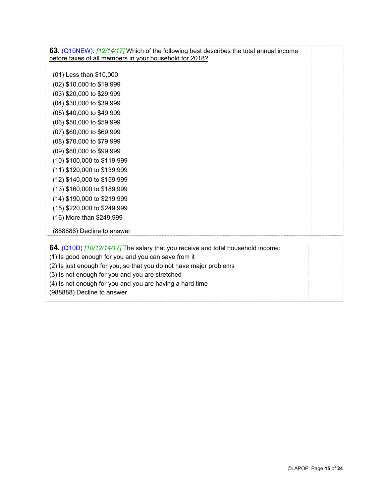**63.** (Q10NEW). *[12/14/17]* Which of the following best describes the total annual income before taxes of all members in your household for 2018?

(01) Less than \$10,000 (02) \$10,000 to \$19,999 (03) \$20,000 to \$29,999 (04) \$30,000 to \$39,999 (05) \$40,000 to \$49,999 (06) \$50,000 to \$59,999 (07) \$60,000 to \$69,999 (08) \$70,000 to \$79,999 (09) \$80,000 to \$99,999 (10) \$100,000 to \$119,999 (11) \$120,000 to \$139,999 (12) \$140,000 to \$159,999 (13) \$160,000 to \$189,999 (14) \$190,000 to \$219,999 (15) \$220,000 to \$249,999 (16) More than \$249,999

(888888) Decline to answer

**64.** (Q10D) *[10/12/14/17]* The salary that you receive and total household income:

(1) Is good enough for you and you can save from it

(2) Is just enough for you, so that you do not have major problems

(3) Is not enough for you and you are stretched

(4) Is not enough for you and you are having a hard time

(988888) Decline to answer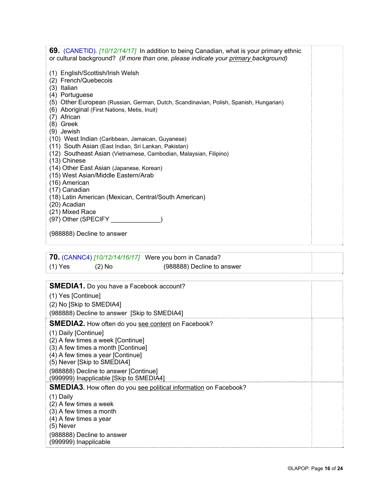| <b>69.</b> (CANETID). [10/12/14/17] In addition to being Canadian, what is your primary ethnic<br>or cultural background? (If more than one, please indicate your primary background) |  |
|---------------------------------------------------------------------------------------------------------------------------------------------------------------------------------------|--|
| (1) English/Scottish/Irish Welsh<br>(2) French/Quebecois<br>(3) Italian                                                                                                               |  |
| (4) Portuguese<br>(5) Other European (Russian, German, Dutch, Scandinavian, Polish, Spanish, Hungarian)<br>(6) Aboriginal (First Nations, Metis, Inuit)<br>(7) African<br>(8) Greek   |  |
| (9) Jewish<br>(10) West Indian (Caribbean, Jamaican, Guyanese)<br>(11) South Asian (East Indian, Sri Lankan, Pakistan)                                                                |  |
| (12) Southeast Asian (Vietnamese, Cambodian, Malaysian, Filipino)<br>(13) Chinese<br>(14) Other East Asian (Japanese, Korean)                                                         |  |
| (15) West Asian/Middle Eastern/Arab<br>(16) American                                                                                                                                  |  |
| (17) Canadian<br>(18) Latin American (Mexican, Central/South American)                                                                                                                |  |
| (20) Acadian<br>(21) Mixed Race                                                                                                                                                       |  |
| (988888) Decline to answer                                                                                                                                                            |  |
|                                                                                                                                                                                       |  |
| <b>70.</b> (CANNC4) [10/12/14/16/17] Were you born in Canada?                                                                                                                         |  |
| $(1)$ Yes<br>(988888) Decline to answer<br>$(2)$ No                                                                                                                                   |  |
| <b>SMEDIA1.</b> Do you have a Facebook account?                                                                                                                                       |  |
| (1) Yes [Continue]                                                                                                                                                                    |  |
|                                                                                                                                                                                       |  |
| (2) No [Skip to SMEDIA4]                                                                                                                                                              |  |
| (988888) Decline to answer [Skip to SMEDIA4]                                                                                                                                          |  |
| <b>SMEDIA2.</b> How often do you see content on Facebook?                                                                                                                             |  |
| (1) Daily [Continue]<br>(2) A few times a week [Continue]                                                                                                                             |  |
| (3) A few times a month [Continue]                                                                                                                                                    |  |
| (4) A few times a year [Continue]<br>(5) Never [Skip to SMEDIA4]                                                                                                                      |  |
| (988888) Decline to answer [Continue]<br>(999999) Inapplicable [Skip to SMEDIA4]                                                                                                      |  |
| <b>SMEDIA3.</b> How often do you see political information on Facebook?                                                                                                               |  |
| (1) Daily                                                                                                                                                                             |  |
| (2) A few times a week<br>(3) A few times a month                                                                                                                                     |  |
| (4) A few times a year                                                                                                                                                                |  |
| (5) Never<br>(988888) Decline to answer                                                                                                                                               |  |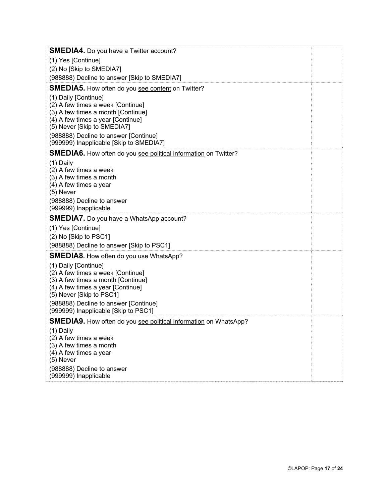| <b>SMEDIA4.</b> Do you have a Twitter account?                                |  |
|-------------------------------------------------------------------------------|--|
| (1) Yes [Continue]                                                            |  |
| (2) No [Skip to SMEDIA7]                                                      |  |
| (988888) Decline to answer [Skip to SMEDIA7]                                  |  |
| <b>SMEDIA5.</b> How often do you see content on Twitter?                      |  |
| (1) Daily [Continue]                                                          |  |
| (2) A few times a week [Continue]<br>(3) A few times a month [Continue]       |  |
| (4) A few times a year [Continue]                                             |  |
| (5) Never [Skip to SMEDIA7]                                                   |  |
| (988888) Decline to answer [Continue]                                         |  |
| (999999) Inapplicable [Skip to SMEDIA7]                                       |  |
| <b>SMEDIA6.</b> How often do you see political information on Twitter?        |  |
| (1) Daily                                                                     |  |
| (2) A few times a week<br>(3) A few times a month                             |  |
| (4) A few times a year                                                        |  |
| $(5)$ Never                                                                   |  |
| (988888) Decline to answer                                                    |  |
| (999999) Inapplicable                                                         |  |
| <b>SMEDIA7.</b> Do you have a WhatsApp account?                               |  |
|                                                                               |  |
| (1) Yes [Continue]                                                            |  |
| (2) No [Skip to PSC1]                                                         |  |
| (988888) Decline to answer [Skip to PSC1]                                     |  |
| <b>SMEDIA8.</b> How often do you use WhatsApp?                                |  |
| (1) Daily [Continue]                                                          |  |
| (2) A few times a week [Continue]<br>(3) A few times a month [Continue]       |  |
| (4) A few times a year [Continue]                                             |  |
| (5) Never [Skip to PSC1]                                                      |  |
| (988888) Decline to answer [Continue]<br>(999999) Inapplicable [Skip to PSC1] |  |
| <b>SMEDIA9.</b> How often do you see political information on WhatsApp?       |  |
| (1) Daily                                                                     |  |
| (2) A few times a week                                                        |  |
| (3) A few times a month                                                       |  |
| (4) A few times a year<br>(5) Never                                           |  |
| (988888) Decline to answer<br>(999999) Inapplicable                           |  |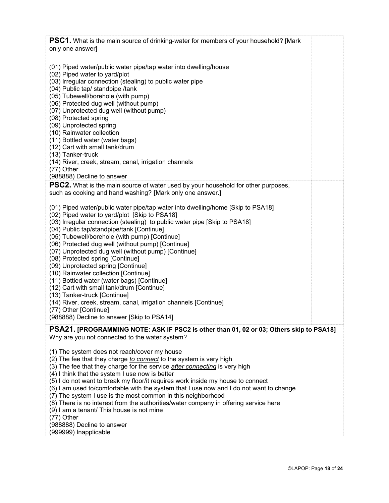| <b>PSC1.</b> What is the main source of drinking-water for members of your household? [Mark                            |  |
|------------------------------------------------------------------------------------------------------------------------|--|
| only one answer]                                                                                                       |  |
|                                                                                                                        |  |
| (01) Piped water/public water pipe/tap water into dwelling/house                                                       |  |
| (02) Piped water to yard/plot                                                                                          |  |
| (03) Irregular connection (stealing) to public water pipe<br>(04) Public tap/ standpipe /tank                          |  |
| (05) Tubewell/borehole (with pump)                                                                                     |  |
| (06) Protected dug well (without pump)                                                                                 |  |
| (07) Unprotected dug well (without pump)                                                                               |  |
| (08) Protected spring                                                                                                  |  |
| (09) Unprotected spring                                                                                                |  |
| (10) Rainwater collection                                                                                              |  |
| (11) Bottled water (water bags)<br>(12) Cart with small tank/drum                                                      |  |
| (13) Tanker-truck                                                                                                      |  |
| (14) River, creek, stream, canal, irrigation channels                                                                  |  |
| $(77)$ Other                                                                                                           |  |
| (988888) Decline to answer                                                                                             |  |
| <b>PSC2.</b> What is the main source of water used by your household for other purposes,                               |  |
| such as cooking and hand washing? [Mark only one answer.]                                                              |  |
|                                                                                                                        |  |
| (01) Piped water/public water pipe/tap water into dwelling/home [Skip to PSA18]                                        |  |
| (02) Piped water to yard/plot [Skip to PSA18]                                                                          |  |
| (03) Irregular connection (stealing) to public water pipe [Skip to PSA18]<br>(04) Public tap/standpipe/tank [Continue] |  |
| (05) Tubewell/borehole (with pump) [Continue]                                                                          |  |
| (06) Protected dug well (without pump) [Continue]                                                                      |  |
| (07) Unprotected dug well (without pump) [Continue]                                                                    |  |
| (08) Protected spring [Continue]                                                                                       |  |
| (09) Unprotected spring [Continue]                                                                                     |  |
| (10) Rainwater collection [Continue]                                                                                   |  |
| (11) Bottled water (water bags) [Continue]                                                                             |  |
| (12) Cart with small tank/drum [Continue]                                                                              |  |
| (13) Tanker-truck [Continue]<br>(14) River, creek, stream, canal, irrigation channels [Continue]                       |  |
| (77) Other [Continue]                                                                                                  |  |
| (988888) Decline to answer [Skip to PSA14]                                                                             |  |
|                                                                                                                        |  |
| PSA21. [PROGRAMMING NOTE: ASK IF PSC2 is other than 01, 02 or 03; Others skip to PSA18]                                |  |
| Why are you not connected to the water system?                                                                         |  |
| (1) The system does not reach/cover my house                                                                           |  |
| (2) The fee that they charge to connect to the system is very high                                                     |  |
| (3) The fee that they charge for the service <i>after connecting</i> is very high                                      |  |
| (4) I think that the system I use now is better                                                                        |  |
| (5) I do not want to break my floor/it requires work inside my house to connect                                        |  |
| (6) I am used to/comfortable with the system that I use now and I do not want to change                                |  |
| (7) The system I use is the most common in this neighborhood                                                           |  |
| (8) There is no interest from the authorities/water company in offering service here                                   |  |
| (9) I am a tenant/ This house is not mine<br>$(77)$ Other                                                              |  |
| (988888) Decline to answer                                                                                             |  |
| (999999) Inapplicable                                                                                                  |  |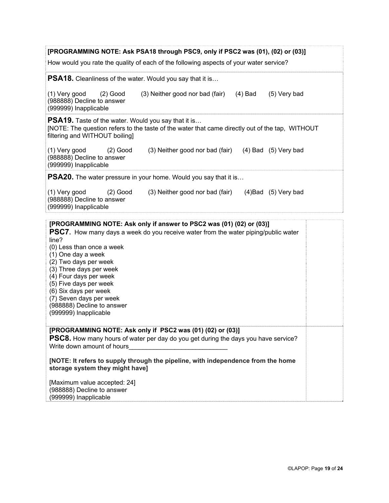| [PROGRAMMING NOTE: Ask PSA18 through PSC9, only if PSC2 was (01), (02) or (03)]                                                                                                                                                                                                                                                                                          |  |  |
|--------------------------------------------------------------------------------------------------------------------------------------------------------------------------------------------------------------------------------------------------------------------------------------------------------------------------------------------------------------------------|--|--|
| How would you rate the quality of each of the following aspects of your water service?                                                                                                                                                                                                                                                                                   |  |  |
| <b>PSA18.</b> Cleanliness of the water. Would you say that it is                                                                                                                                                                                                                                                                                                         |  |  |
| (1) Very good<br>(3) Neither good nor bad (fair)<br>(5) Very bad<br>$(2)$ Good<br>(4) Bad<br>(988888) Decline to answer<br>(999999) Inapplicable                                                                                                                                                                                                                         |  |  |
| <b>PSA19.</b> Taste of the water. Would you say that it is<br>[NOTE: The question refers to the taste of the water that came directly out of the tap, WITHOUT<br>filtering and WITHOUT boiling]                                                                                                                                                                          |  |  |
| (1) Very good<br>$(2)$ Good<br>(3) Neither good nor bad (fair) (4) Bad (5) Very bad<br>(988888) Decline to answer<br>(999999) Inapplicable                                                                                                                                                                                                                               |  |  |
| <b>PSA20.</b> The water pressure in your home. Would you say that it is                                                                                                                                                                                                                                                                                                  |  |  |
| (1) Very good<br>$(2)$ Good<br>(3) Neither good nor bad (fair)<br>$(4)$ Bad $(5)$ Very bad<br>(988888) Decline to answer<br>(999999) Inapplicable                                                                                                                                                                                                                        |  |  |
| [PROGRAMMING NOTE: Ask only if answer to PSC2 was (01) (02) or (03)]                                                                                                                                                                                                                                                                                                     |  |  |
| <b>PSC7.</b> How many days a week do you receive water from the water piping/public water<br>line?<br>(0) Less than once a week<br>(1) One day a week<br>(2) Two days per week<br>(3) Three days per week<br>(4) Four days per week<br>(5) Five days per week<br>(6) Six days per week<br>(7) Seven days per week<br>(988888) Decline to answer<br>(999999) Inapplicable |  |  |
| [PROGRAMMING NOTE: Ask only if PSC2 was (01) (02) or (03)]<br><b>PSC8.</b> How many hours of water per day do you get during the days you have service?                                                                                                                                                                                                                  |  |  |
| Write down amount of hours                                                                                                                                                                                                                                                                                                                                               |  |  |
| [NOTE: It refers to supply through the pipeline, with independence from the home<br>storage system they might have]                                                                                                                                                                                                                                                      |  |  |
| [Maximum value accepted: 24]                                                                                                                                                                                                                                                                                                                                             |  |  |
| (988888) Decline to answer<br>(999999) Inapplicable                                                                                                                                                                                                                                                                                                                      |  |  |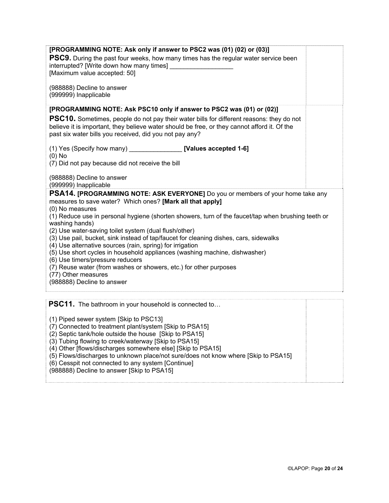| [PROGRAMMING NOTE: Ask only if answer to PSC2 was (01) (02) or (03)]<br><b>PSC9.</b> During the past four weeks, how many times has the regular water service been<br>interrupted? [Write down how many times]<br>[Maximum value accepted: 50]<br>(988888) Decline to answer<br>(999999) Inapplicable                                                                                                                                                                                                                                                                                                                                                                                                                                                                              |
|------------------------------------------------------------------------------------------------------------------------------------------------------------------------------------------------------------------------------------------------------------------------------------------------------------------------------------------------------------------------------------------------------------------------------------------------------------------------------------------------------------------------------------------------------------------------------------------------------------------------------------------------------------------------------------------------------------------------------------------------------------------------------------|
| [PROGRAMMING NOTE: Ask PSC10 only if answer to PSC2 was (01) or (02)]<br><b>PSC10.</b> Sometimes, people do not pay their water bills for different reasons: they do not<br>believe it is important, they believe water should be free, or they cannot afford it. Of the<br>past six water bills you received, did you not pay any?<br>(1) Yes (Specify how many) [Values accepted 1-6]<br>$(0)$ No<br>(7) Did not pay because did not receive the bill<br>(988888) Decline to answer                                                                                                                                                                                                                                                                                              |
| (999999) Inapplicable<br><b>PSA14. [PROGRAMMING NOTE: ASK EVERYONE]</b> Do you or members of your home take any<br>measures to save water? Which ones? [Mark all that apply]<br>(0) No measures<br>(1) Reduce use in personal hygiene (shorten showers, turn of the faucet/tap when brushing teeth or<br>washing hands)<br>(2) Use water-saving toilet system (dual flush/other)<br>(3) Use pail, bucket, sink instead of tap/faucet for cleaning dishes, cars, sidewalks<br>(4) Use alternative sources (rain, spring) for irrigation<br>(5) Use short cycles in household appliances (washing machine, dishwasher)<br>(6) Use timers/pressure reducers<br>(7) Reuse water (from washes or showers, etc.) for other purposes<br>(77) Other measures<br>(988888) Decline to answer |
| PSC11. The bathroom in your household is connected to                                                                                                                                                                                                                                                                                                                                                                                                                                                                                                                                                                                                                                                                                                                              |

(1) Piped sewer system [Skip to PSC13]

(7) Connected to treatment plant/system [Skip to PSA15]

(2) Septic tank/hole outside the house [Skip to PSA15]

(3) Tubing flowing to creek/waterway [Skip to PSA15]

(4) Other [flows/discharges somewhere else] [Skip to PSA15]

(5) Flows/discharges to unknown place/not sure/does not know where [Skip to PSA15]

(6) Cesspit not connected to any system [Continue]

(988888) Decline to answer [Skip to PSA15]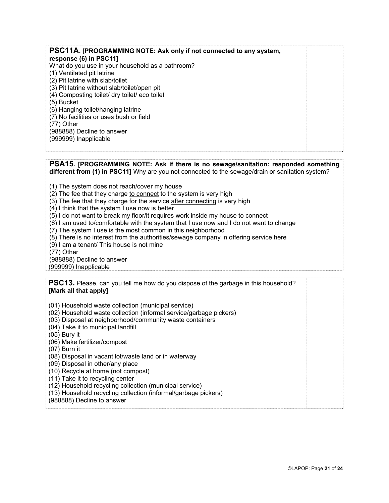| PSC11A. [PROGRAMMING NOTE: Ask only if not connected to any system, |  |
|---------------------------------------------------------------------|--|
| response (6) in PSC11]                                              |  |
| What do you use in your household as a bathroom?                    |  |
| (1) Ventilated pit latrine                                          |  |
| (2) Pit latrine with slab/toilet                                    |  |
| (3) Pit latrine without slab/toilet/open pit                        |  |
| (4) Composting toilet/ dry toilet/ eco toilet                       |  |
| (5) Bucket                                                          |  |
| (6) Hanging toilet/hanging latrine                                  |  |
| (7) No facilities or uses bush or field                             |  |
| $(77)$ Other                                                        |  |
| (988888) Decline to answer                                          |  |
| (999999) Inapplicable                                               |  |
|                                                                     |  |

#### **PSA15. [PROGRAMMING NOTE: Ask if there is no sewage/sanitation: responded something different from (1) in PSC11]** Why are you not connected to the sewage/drain or sanitation system?

- (1) The system does not reach/cover my house
- (2) The fee that they charge to connect to the system is very high
- (3) The fee that they charge for the service after connecting is very high
- (4) I think that the system I use now is better
- (5) I do not want to break my floor/it requires work inside my house to connect
- (6) I am used to/comfortable with the system that I use now and I do not want to change
- (7) The system I use is the most common in this neighborhood
- (8) There is no interest from the authorities/sewage company in offering service here
- (9) I am a tenant/ This house is not mine
- (77) Other

(988888) Decline to answer

(999999) Inapplicable

**PSC13.** Please, can you tell me how do you dispose of the garbage in this household? **[Mark all that apply]** 

(01) Household waste collection (municipal service)

- (02) Household waste collection (informal service/garbage pickers)
- (03) Disposal at neighborhood/community waste containers
- (04) Take it to municipal landfill
- (05) Bury it

(06) Make fertilizer/compost

(07) Burn it

(08) Disposal in vacant lot/waste land or in waterway

(09) Disposal in other/any place

(10) Recycle at home (not compost)

(11) Take it to recycling center

(12) Household recycling collection (municipal service)

(13) Household recycling collection (informal/garbage pickers)

(988888) Decline to answer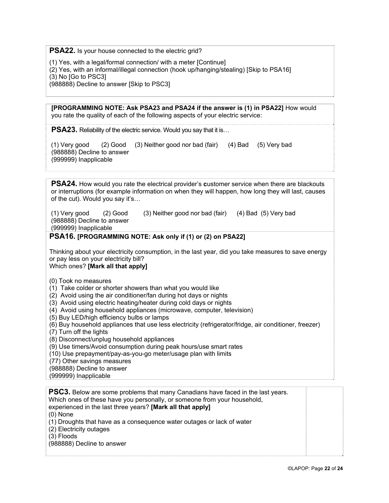**PSA22.** Is your house connected to the electric grid?

(1) Yes, with a legal/formal connection/ with a meter [Continue]

(2) Yes, with an informal/illegal connection (hook up/hanging/stealing) [Skip to PSA16]

(3) No [Go to PSC3]

(988888) Decline to answer [Skip to PSC3]

**[PROGRAMMING NOTE: Ask PSA23 and PSA24 if the answer is (1) in PSA22]** How would you rate the quality of each of the following aspects of your electric service:

**PSA23.** Reliability of the electric service. Would you say that it is...

(1) Very good (2) Good (3) Neither good nor bad (fair) (4) Bad (5) Very bad (988888) Decline to answer (999999) Inapplicable

**PSA24.** How would you rate the electrical provider's **c**ustomer service when there are blackouts or interruptions (for example information on when they will happen, how long they will last, causes of the cut). Would you say it's…

(1) Very good (2) Good (3) Neither good nor bad (fair) (4) Bad (5) Very bad (988888) Decline to answer (999999) Inapplicable

### **PSA16. [PROGRAMMING NOTE: Ask only if (1) or (2) on PSA22]**

Thinking about your electricity consumption, in the last year, did you take measures to save energy or pay less on your electricity bill?

Which ones? **[Mark all that apply]**

- (0) Took no measures
- (1) Take colder or shorter showers than what you would like
- (2) Avoid using the air conditioner/fan during hot days or nights
- (3) Avoid using electric heating/heater during cold days or nights
- (4) Avoid using household appliances (microwave, computer, television)
- (5) Buy LED/high efficiency bulbs or lamps
- (6) Buy household appliances that use less electricity (refrigerator/fridge, air conditioner, freezer)
- (7) Turn off the lights
- (8) Disconnect/unplug household appliances
- (9) Use timers/Avoid consumption during peak hours/use smart rates
- (10) Use prepayment/pay-as-you-go meter/usage plan with limits
- (77) Other savings measures
- (988888) Decline to answer

(999999) Inapplicable

**PSC3.** Below are some problems that many Canadians have faced in the last years. Which ones of these have you personally, or someone from your household,

experienced in the last three years? **[Mark all that apply]** 

(0) None

- (1) Droughts that have as a consequence water outages or lack of water
- (2) Electricity outages
- (3) Floods
- (988888) Decline to answer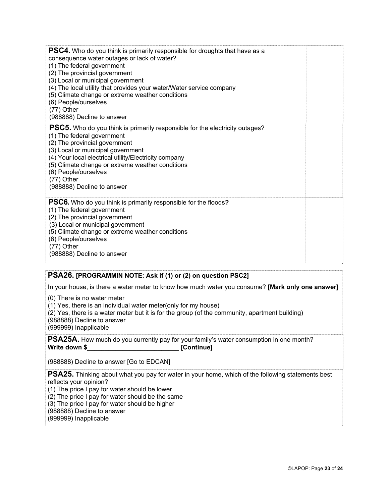| <b>PSC4.</b> Who do you think is primarily responsible for droughts that have as a<br>consequence water outages or lack of water?<br>(1) The federal government<br>(2) The provincial government<br>(3) Local or municipal government<br>(4) The local utility that provides your water/Water service company<br>(5) Climate change or extreme weather conditions<br>(6) People/ourselves<br>(77) Other<br>(988888) Decline to answer |  |
|---------------------------------------------------------------------------------------------------------------------------------------------------------------------------------------------------------------------------------------------------------------------------------------------------------------------------------------------------------------------------------------------------------------------------------------|--|
| <b>PSC5.</b> Who do you think is primarily responsible for the electricity outages?<br>(1) The federal government<br>(2) The provincial government<br>(3) Local or municipal government<br>(4) Your local electrical utility/Electricity company<br>(5) Climate change or extreme weather conditions<br>(6) People/ourselves<br>(77) Other<br>(988888) Decline to answer                                                              |  |
| <b>PSC6.</b> Who do you think is primarily responsible for the floods?<br>(1) The federal government<br>(2) The provincial government<br>(3) Local or municipal government<br>(5) Climate change or extreme weather conditions<br>(6) People/ourselves<br>$(77)$ Other<br>(988888) Decline to answer                                                                                                                                  |  |

### **PSA26. [PROGRAMMIN NOTE: Ask if (1) or (2) on question PSC2]**

In your house, is there a water meter to know how much water you consume? **[Mark only one answer]**

(0) There is no water meter

(1) Yes, there is an individual water meter(only for my house)

(2) Yes, there is a water meter but it is for the group (of the community, apartment building)

(988888) Decline to answer

(999999) Inapplicable

**PSA25A.** How much do you currently pay for your family's water consumption in one month? Write down \$ [Continue]

(988888) Decline to answer [Go to EDCAN]

**PSA25.** Thinking about what you pay for water in your home, which of the following statements best reflects your opinion?

(1) The price I pay for water should be lower

(2) The price I pay for water should be the same

(3) The price I pay for water should be higher

(988888) Decline to answer

(999999) Inapplicable